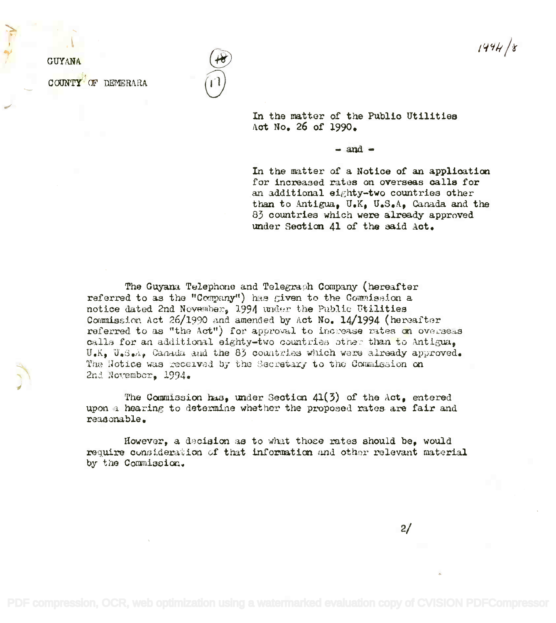$1444/8$ 

**GUYANA** COUNTY OF DEMERARA

In the matter of the Public Utilities Act No. 26 of 1990.

 $-$  and  $-$ 

In the matter of a Notice of an application for increased rates on overseas calls for an additional eighty-two countries other than to Antigua, U.K, U.S.A, Canada and the 83 countries which were already approved under Section 41 of the said Act.

The Guyana Telephone and Telegraph Company (hereafter referred to as the "Company") has given to the Commission a notice dated 2nd November, 1994 under the Public Utilities Commission Act 26/1990 and amended by Act No. 14/1994 (hereafter referred to as "the Act") for approval to increase rates on overseas calls for an additional eighty-two countries other than to Antigua. U.K. U.S.A., Canada and the 83 countries which were already approved. The Hotice was received by the Secretary to the Commission on 2nd November. 1994.

The Commission has, under Section  $41(3)$  of the Act, entered upon a hearing to determine whether the proposed rates are fair and reasonable.

However, a decision as to what those rates should be, would require consideration of that information and other relevant material by the Commission.